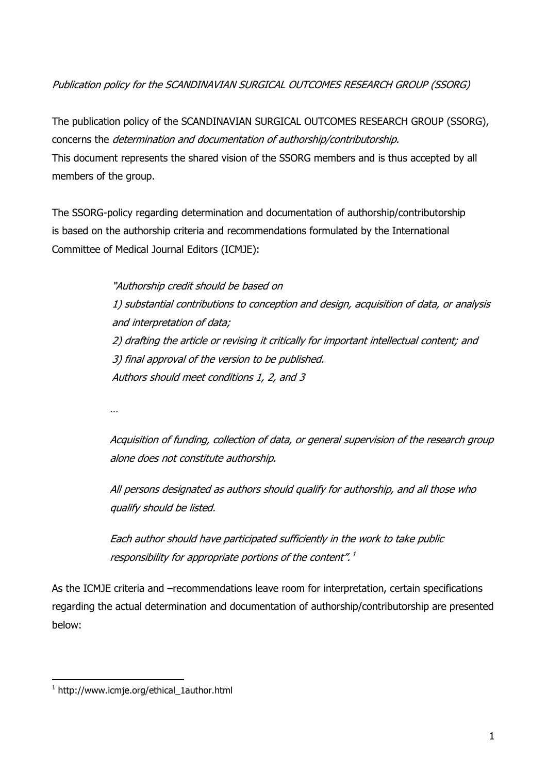Publication policy for the SCANDINAVIAN SURGICAL OUTCOMES RESEARCH GROUP (SSORG)

The publication policy of the SCANDINAVIAN SURGICAL OUTCOMES RESEARCH GROUP (SSORG), concerns the determination and documentation of authorship/contributorship. This document represents the shared vision of the SSORG members and is thus accepted by all members of the group.

The SSORG-policy regarding determination and documentation of authorship/contributorship is based on the authorship criteria and recommendations formulated by the International Committee of Medical Journal Editors (ICMJE):

> "Authorship credit should be based on 1) substantial contributions to conception and design, acquisition of data, or analysis and interpretation of data; 2) drafting the article or revising it critically for important intellectual content; and 3) final approval of the version to be published. Authors should meet conditions 1, 2, and 3

…

Acquisition of funding, collection of data, or general supervision of the research group alone does not constitute authorship.

All persons designated as authors should qualify for authorship, and all those who qualify should be listed.

Each author should have participated sufficiently in the work to take public responsibility for appropriate portions of the content".<sup>1</sup>

As the ICMJE criteria and –recommendations leave room for interpretation, certain specifications regarding the actual determination and documentation of authorship/contributorship are presented below:

<sup>-</sup>1 http://www.icmje.org/ethical\_1author.html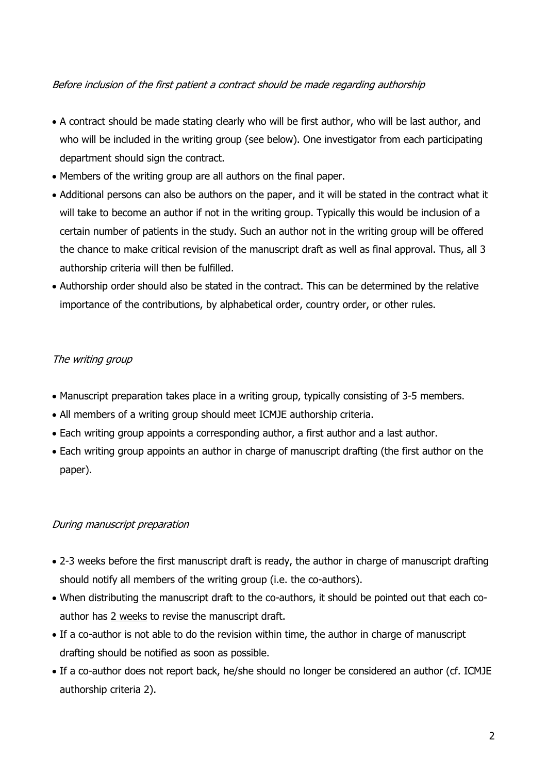## Before inclusion of the first patient a contract should be made regarding authorship

- A contract should be made stating clearly who will be first author, who will be last author, and who will be included in the writing group (see below). One investigator from each participating department should sign the contract.
- Members of the writing group are all authors on the final paper.
- Additional persons can also be authors on the paper, and it will be stated in the contract what it will take to become an author if not in the writing group. Typically this would be inclusion of a certain number of patients in the study. Such an author not in the writing group will be offered the chance to make critical revision of the manuscript draft as well as final approval. Thus, all 3 authorship criteria will then be fulfilled.
- Authorship order should also be stated in the contract. This can be determined by the relative importance of the contributions, by alphabetical order, country order, or other rules.

## The writing group

- Manuscript preparation takes place in a writing group, typically consisting of 3-5 members.
- All members of a writing group should meet ICMJE authorship criteria.
- Each writing group appoints a corresponding author, a first author and a last author.
- Each writing group appoints an author in charge of manuscript drafting (the first author on the paper).

## During manuscript preparation

- 2-3 weeks before the first manuscript draft is ready, the author in charge of manuscript drafting should notify all members of the writing group (i.e. the co-authors).
- When distributing the manuscript draft to the co-authors, it should be pointed out that each coauthor has 2 weeks to revise the manuscript draft.
- If a co-author is not able to do the revision within time, the author in charge of manuscript drafting should be notified as soon as possible.
- If a co-author does not report back, he/she should no longer be considered an author (cf. ICMJE authorship criteria 2).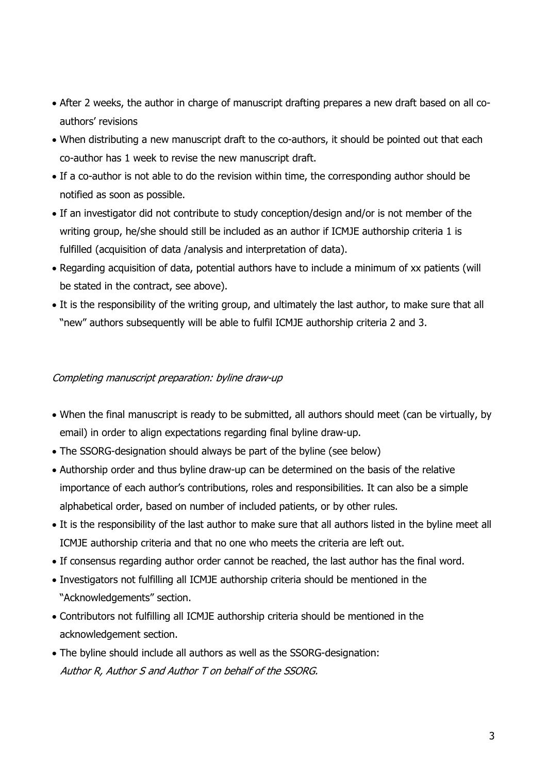- After 2 weeks, the author in charge of manuscript drafting prepares a new draft based on all coauthors' revisions
- When distributing a new manuscript draft to the co-authors, it should be pointed out that each co-author has 1 week to revise the new manuscript draft.
- If a co-author is not able to do the revision within time, the corresponding author should be notified as soon as possible.
- If an investigator did not contribute to study conception/design and/or is not member of the writing group, he/she should still be included as an author if ICMJE authorship criteria 1 is fulfilled (acquisition of data /analysis and interpretation of data).
- Regarding acquisition of data, potential authors have to include a minimum of xx patients (will be stated in the contract, see above).
- It is the responsibility of the writing group, and ultimately the last author, to make sure that all "new" authors subsequently will be able to fulfil ICMJE authorship criteria 2 and 3.

## Completing manuscript preparation: byline draw-up

- When the final manuscript is ready to be submitted, all authors should meet (can be virtually, by email) in order to align expectations regarding final byline draw-up.
- The SSORG-designation should always be part of the byline (see below)
- Authorship order and thus byline draw-up can be determined on the basis of the relative importance of each author's contributions, roles and responsibilities. It can also be a simple alphabetical order, based on number of included patients, or by other rules.
- It is the responsibility of the last author to make sure that all authors listed in the byline meet all ICMJE authorship criteria and that no one who meets the criteria are left out.
- If consensus regarding author order cannot be reached, the last author has the final word.
- Investigators not fulfilling all ICMJE authorship criteria should be mentioned in the "Acknowledgements" section.
- Contributors not fulfilling all ICMJE authorship criteria should be mentioned in the acknowledgement section.
- The byline should include all authors as well as the SSORG-designation: Author R, Author S and Author T on behalf of the SSORG.